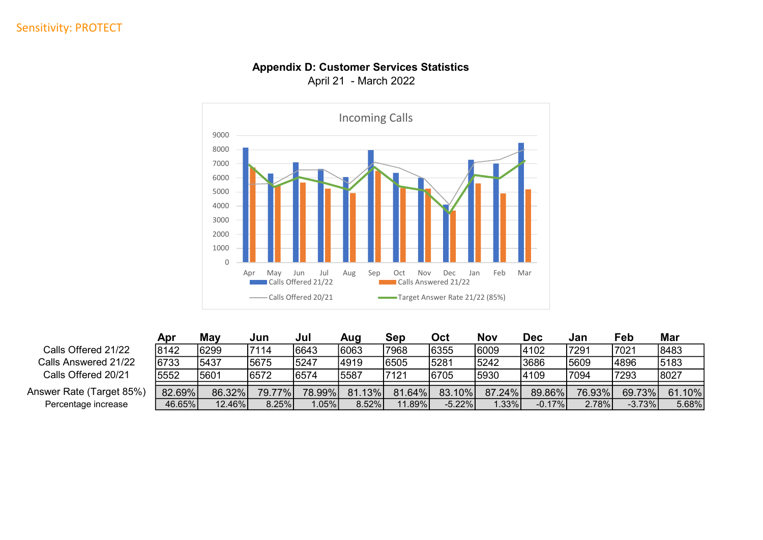## Sensitivity: PROTECT



## Appendix D: Customer Services Statistics April 21 - March 2022

|                          | Apr    | Mav    | Jun    | Jul    | Aua      | Sep    | Oct       | Nov    | Dec      | Jan    | Feb      | Mar    |
|--------------------------|--------|--------|--------|--------|----------|--------|-----------|--------|----------|--------|----------|--------|
| Calls Offered 21/22      | 8142   | 6299   | 7114   | 6643   | 16063    | 7968   | 6355      | 6009   | 4102     | 7291   | 7021     | 8483   |
| Calls Answered 21/22     | 6733   | 5437   | 5675   | 5247   | 4919     | 6505   | 5281      | 5242   | 3686     | 5609   | 4896     | 5183   |
| Calls Offered 20/21      | 5552   | 5601   | 6572   | 6574   | 15587    | 7121   | 6705      | 5930   | 4109     | 7094   | 7293     | 8027   |
| Answer Rate (Target 85%) | 82.69% | 86.32% | 79.77% | 78.99% | 81.13%   | 81.64% | 83.10%    | 87.24% | 89.86%   | 76.93% | 69.73%   | 61.10% |
| Percentage increase      | 46.65% | 12.46% | 8.25%  | 1.05%  | $8.52\%$ | 11.89% | $-5.22\%$ | 1.33%  | $-0.17%$ | 2.78%  | $-3.73%$ | 5.68%  |